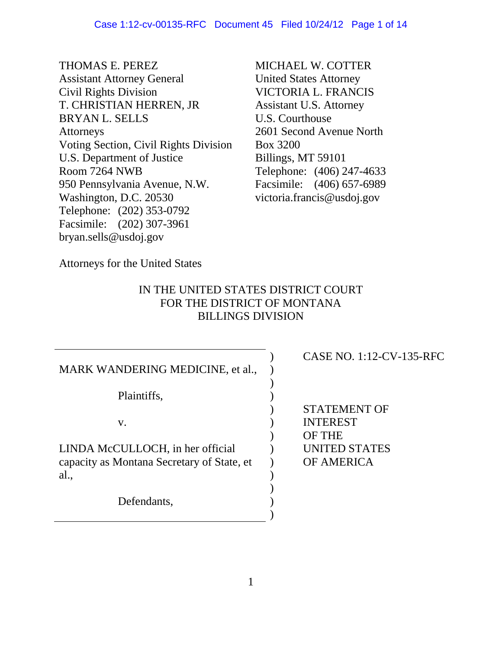THOMAS E. PEREZ Assistant Attorney General Civil Rights Division T. CHRISTIAN HERREN, JR BRYAN L. SELLS **Attorneys** Voting Section, Civil Rights Division U.S. Department of Justice Room 7264 NWB 950 Pennsylvania Avenue, N.W. Washington, D.C. 20530 Telephone: (202) 353-0792 Facsimile: (202) 307-3961 bryan.sells@usdoj.gov

MICHAEL W. COTTER United States Attorney VICTORIA L. FRANCIS Assistant U.S. Attorney U.S. Courthouse 2601 Second Avenue North Box 3200 Billings, MT 59101 Telephone: (406) 247-4633 Facsimile: (406) 657-6989 victoria.francis@usdoj.gov

Attorneys for the United States

# IN THE UNITED STATES DISTRICT COURT FOR THE DISTRICT OF MONTANA BILLINGS DIVISION

| MARK WANDERING MEDICINE, et al.,                   |  |
|----------------------------------------------------|--|
| Plaintiffs,                                        |  |
| V.                                                 |  |
| LINDA McCULLOCH, in her official                   |  |
| capacity as Montana Secretary of State, et<br>al., |  |
| Defendants,                                        |  |

# CASE NO. 1:12-CV-135-RFC

STATEMENT OF INTEREST OF THE UNITED STATES OF AMERICA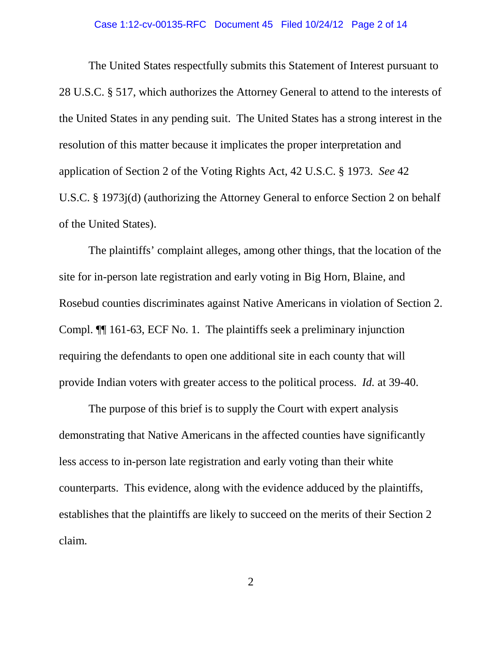#### Case 1:12-cv-00135-RFC Document 45 Filed 10/24/12 Page 2 of 14

The United States respectfully submits this Statement of Interest pursuant to 28 U.S.C. § 517, which authorizes the Attorney General to attend to the interests of the United States in any pending suit. The United States has a strong interest in the resolution of this matter because it implicates the proper interpretation and application of Section 2 of the Voting Rights Act, 42 U.S.C. § 1973. *See* 42 U.S.C. § 1973j(d) (authorizing the Attorney General to enforce Section 2 on behalf of the United States).

The plaintiffs' complaint alleges, among other things, that the location of the site for in-person late registration and early voting in Big Horn, Blaine, and Rosebud counties discriminates against Native Americans in violation of Section 2. Compl. ¶¶ 161-63, ECF No. 1. The plaintiffs seek a preliminary injunction requiring the defendants to open one additional site in each county that will provide Indian voters with greater access to the political process. *Id.* at 39-40.

The purpose of this brief is to supply the Court with expert analysis demonstrating that Native Americans in the affected counties have significantly less access to in-person late registration and early voting than their white counterparts. This evidence, along with the evidence adduced by the plaintiffs, establishes that the plaintiffs are likely to succeed on the merits of their Section 2 claim.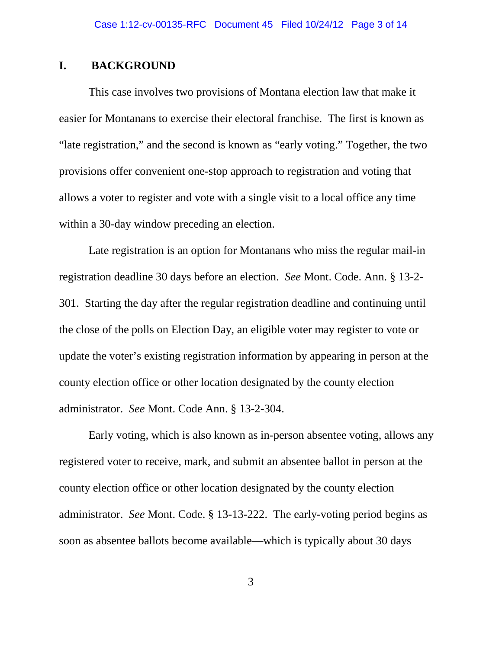# **I. BACKGROUND**

This case involves two provisions of Montana election law that make it easier for Montanans to exercise their electoral franchise. The first is known as "late registration," and the second is known as "early voting." Together, the two provisions offer convenient one-stop approach to registration and voting that allows a voter to register and vote with a single visit to a local office any time within a 30-day window preceding an election.

Late registration is an option for Montanans who miss the regular mail-in registration deadline 30 days before an election. *See* Mont. Code. Ann. § 13-2- 301. Starting the day after the regular registration deadline and continuing until the close of the polls on Election Day, an eligible voter may register to vote or update the voter's existing registration information by appearing in person at the county election office or other location designated by the county election administrator. *See* Mont. Code Ann. § 13-2-304.

Early voting, which is also known as in-person absentee voting, allows any registered voter to receive, mark, and submit an absentee ballot in person at the county election office or other location designated by the county election administrator. *See* Mont. Code. § 13-13-222. The early-voting period begins as soon as absentee ballots become available—which is typically about 30 days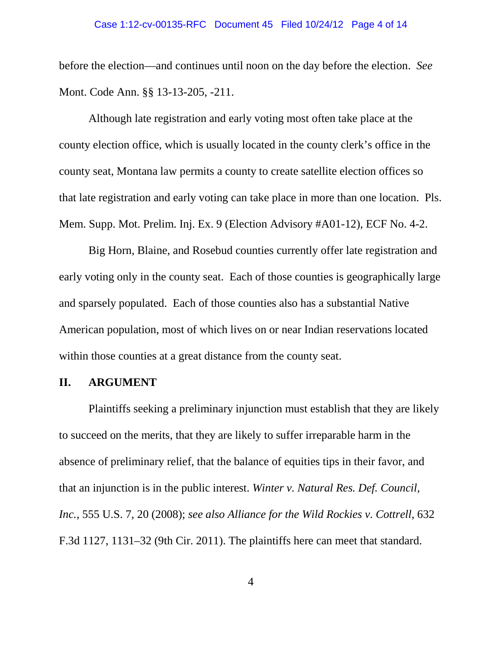before the election—and continues until noon on the day before the election. *See*  Mont. Code Ann. §§ 13-13-205, -211.

Although late registration and early voting most often take place at the county election office, which is usually located in the county clerk's office in the county seat, Montana law permits a county to create satellite election offices so that late registration and early voting can take place in more than one location. Pls. Mem. Supp. Mot. Prelim. Inj. Ex. 9 (Election Advisory #A01-12), ECF No. 4-2.

Big Horn, Blaine, and Rosebud counties currently offer late registration and early voting only in the county seat. Each of those counties is geographically large and sparsely populated. Each of those counties also has a substantial Native American population, most of which lives on or near Indian reservations located within those counties at a great distance from the county seat.

# **II. ARGUMENT**

Plaintiffs seeking a preliminary injunction must establish that they are likely to succeed on the merits, that they are likely to suffer irreparable harm in the absence of preliminary relief, that the balance of equities tips in their favor, and that an injunction is in the public interest. *Winter v. Natural Res. Def. Council, Inc.*, 555 U.S. 7, 20 (2008); *see also Alliance for the Wild Rockies v. Cottrell*, 632 F.3d 1127, 1131–32 (9th Cir. 2011). The plaintiffs here can meet that standard.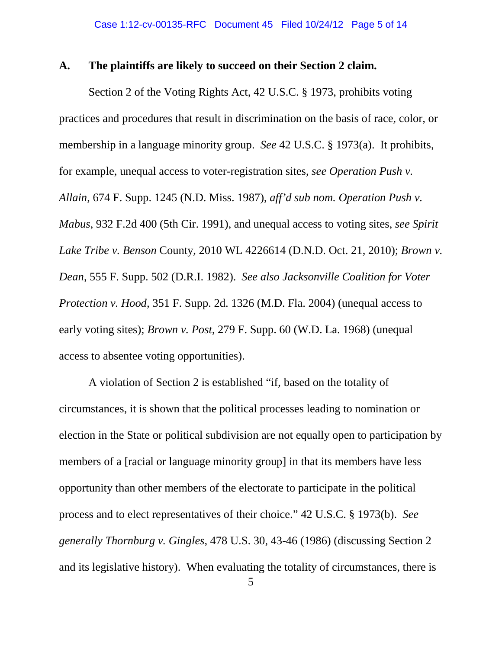## **A. The plaintiffs are likely to succeed on their Section 2 claim.**

Section 2 of the Voting Rights Act, 42 U.S.C. § 1973, prohibits voting practices and procedures that result in discrimination on the basis of race, color, or membership in a language minority group. *See* 42 U.S.C. § 1973(a). It prohibits, for example, unequal access to voter-registration sites, *see Operation Push v. Allain*, 674 F. Supp. 1245 (N.D. Miss. 1987), *aff'd sub nom. Operation Push v. Mabus*, 932 F.2d 400 (5th Cir. 1991), and unequal access to voting sites, *see Spirit Lake Tribe v. Benson* County, 2010 WL 4226614 (D.N.D. Oct. 21, 2010); *Brown v. Dean*, 555 F. Supp. 502 (D.R.I. 1982). *See also Jacksonville Coalition for Voter Protection v. Hood,* 351 F. Supp. 2d. 1326 (M.D. Fla. 2004) (unequal access to early voting sites); *Brown v. Post*, 279 F. Supp. 60 (W.D. La. 1968) (unequal access to absentee voting opportunities).

A violation of Section 2 is established "if, based on the totality of circumstances, it is shown that the political processes leading to nomination or election in the State or political subdivision are not equally open to participation by members of a [racial or language minority group] in that its members have less opportunity than other members of the electorate to participate in the political process and to elect representatives of their choice." 42 U.S.C. § 1973(b). *See generally Thornburg v. Gingles*, 478 U.S. 30, 43-46 (1986) (discussing Section 2 and its legislative history). When evaluating the totality of circumstances, there is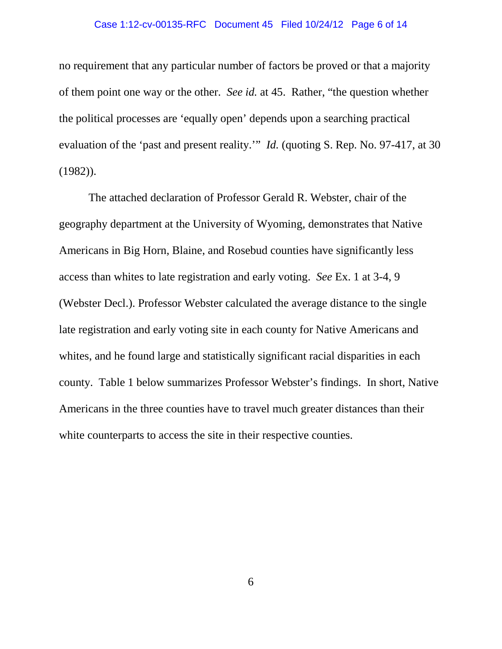#### Case 1:12-cv-00135-RFC Document 45 Filed 10/24/12 Page 6 of 14

no requirement that any particular number of factors be proved or that a majority of them point one way or the other. *See id.* at 45. Rather, "the question whether the political processes are 'equally open' depends upon a searching practical evaluation of the 'past and present reality.'" *Id.* (quoting S. Rep. No. 97-417, at 30 (1982)).

The attached declaration of Professor Gerald R. Webster, chair of the geography department at the University of Wyoming, demonstrates that Native Americans in Big Horn, Blaine, and Rosebud counties have significantly less access than whites to late registration and early voting. *See* Ex. 1 at 3-4, 9 (Webster Decl.). Professor Webster calculated the average distance to the single late registration and early voting site in each county for Native Americans and whites, and he found large and statistically significant racial disparities in each county. Table 1 below summarizes Professor Webster's findings. In short, Native Americans in the three counties have to travel much greater distances than their white counterparts to access the site in their respective counties.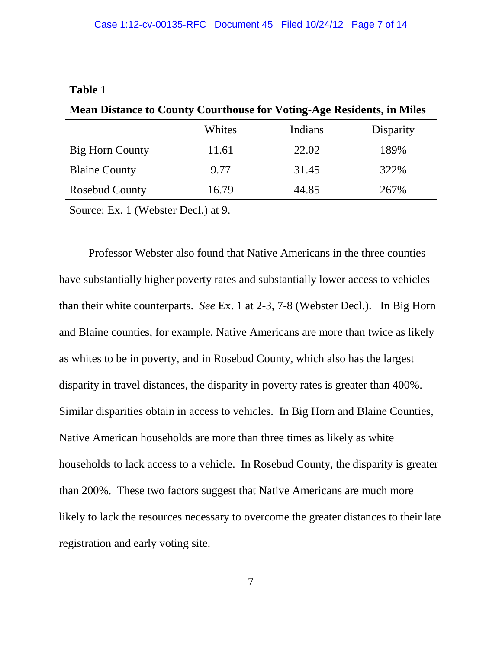# **Table 1**

| <b>NEAR DISTRICT TO COUNTY COULTROUSE TOT VOURE-Age Residents, in Nines</b> |        |         |           |
|-----------------------------------------------------------------------------|--------|---------|-----------|
|                                                                             | Whites | Indians | Disparity |
| Big Horn County                                                             | 11.61  | 22.02   | 189%      |
| <b>Blaine County</b>                                                        | 9.77   | 31.45   | 322%      |
| <b>Rosebud County</b>                                                       | 16.79  | 44.85   | 267%      |
| $\sim$<br>$\sqrt{11}$ $\sqrt{11}$ $\sqrt{11}$                               |        |         |           |

**Mean Distance to County Courthouse for Voting-Age Residents, in Miles**

Source: Ex. 1 (Webster Decl.) at 9.

Professor Webster also found that Native Americans in the three counties have substantially higher poverty rates and substantially lower access to vehicles than their white counterparts. *See* Ex. 1 at 2-3, 7-8 (Webster Decl.). In Big Horn and Blaine counties, for example, Native Americans are more than twice as likely as whites to be in poverty, and in Rosebud County, which also has the largest disparity in travel distances, the disparity in poverty rates is greater than 400%. Similar disparities obtain in access to vehicles. In Big Horn and Blaine Counties, Native American households are more than three times as likely as white households to lack access to a vehicle. In Rosebud County, the disparity is greater than 200%. These two factors suggest that Native Americans are much more likely to lack the resources necessary to overcome the greater distances to their late registration and early voting site.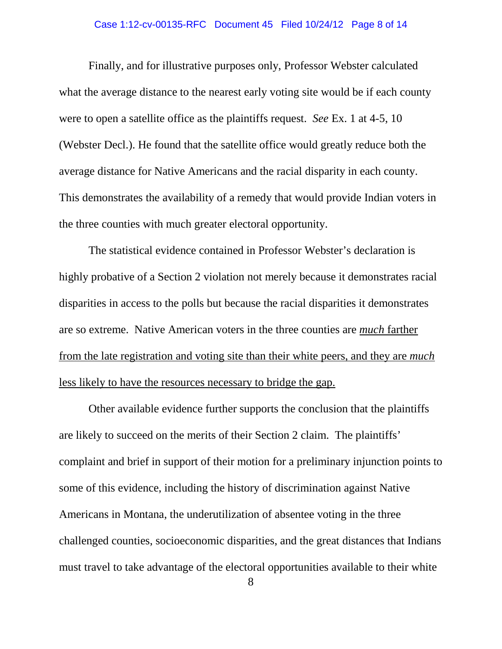## Case 1:12-cv-00135-RFC Document 45 Filed 10/24/12 Page 8 of 14

Finally, and for illustrative purposes only, Professor Webster calculated what the average distance to the nearest early voting site would be if each county were to open a satellite office as the plaintiffs request. *See* Ex. 1 at 4-5, 10 (Webster Decl.). He found that the satellite office would greatly reduce both the average distance for Native Americans and the racial disparity in each county. This demonstrates the availability of a remedy that would provide Indian voters in the three counties with much greater electoral opportunity.

The statistical evidence contained in Professor Webster's declaration is highly probative of a Section 2 violation not merely because it demonstrates racial disparities in access to the polls but because the racial disparities it demonstrates are so extreme. Native American voters in the three counties are *much* farther from the late registration and voting site than their white peers, and they are *much* less likely to have the resources necessary to bridge the gap.

Other available evidence further supports the conclusion that the plaintiffs are likely to succeed on the merits of their Section 2 claim. The plaintiffs' complaint and brief in support of their motion for a preliminary injunction points to some of this evidence, including the history of discrimination against Native Americans in Montana, the underutilization of absentee voting in the three challenged counties, socioeconomic disparities, and the great distances that Indians must travel to take advantage of the electoral opportunities available to their white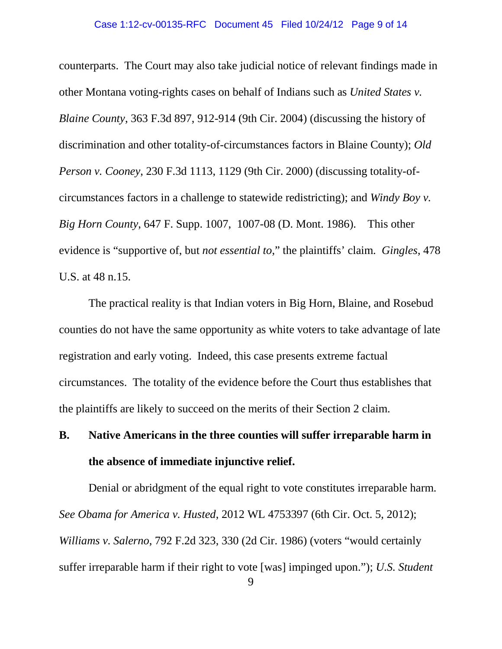counterparts. The Court may also take judicial notice of relevant findings made in other Montana voting-rights cases on behalf of Indians such as *United States v. Blaine County*, 363 F.3d 897, 912-914 (9th Cir. 2004) (discussing the history of discrimination and other totality-of-circumstances factors in Blaine County); *Old Person v. Cooney*, 230 F.3d 1113, 1129 (9th Cir. 2000) (discussing totality-ofcircumstances factors in a challenge to statewide redistricting); and *Windy Boy v. Big Horn County*, 647 F. Supp. 1007, 1007-08 (D. Mont. 1986). This other evidence is "supportive of, but *not essential to*," the plaintiffs' claim. *Gingles*, 478 U.S. at 48 n.15.

The practical reality is that Indian voters in Big Horn, Blaine, and Rosebud counties do not have the same opportunity as white voters to take advantage of late registration and early voting. Indeed, this case presents extreme factual circumstances. The totality of the evidence before the Court thus establishes that the plaintiffs are likely to succeed on the merits of their Section 2 claim.

# **B. Native Americans in the three counties will suffer irreparable harm in the absence of immediate injunctive relief.**

Denial or abridgment of the equal right to vote constitutes irreparable harm. *See Obama for America v. Husted*, 2012 WL 4753397 (6th Cir. Oct. 5, 2012); *Williams v. Salerno*, 792 F.2d 323, 330 (2d Cir. 1986) (voters "would certainly suffer irreparable harm if their right to vote [was] impinged upon."); *U.S. Student*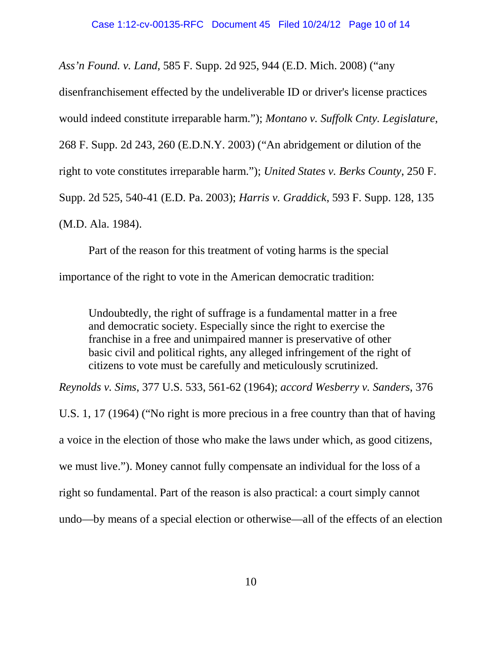*Ass'n Found. v. Land*, 585 F. Supp. 2d 925, 944 (E.D. Mich. 2008) ("any

disenfranchisement effected by the undeliverable ID or driver's license practices

would indeed constitute irreparable harm."); *Montano v. Suffolk Cnty. Legislature*,

268 F. Supp. 2d 243, 260 (E.D.N.Y. 2003) ("An abridgement or dilution of the

right to vote constitutes irreparable harm."); *United States v. Berks County*, 250 F.

Supp. 2d 525, 540-41 (E.D. Pa. 2003); *Harris v. Graddick*, 593 F. Supp. 128, 135

(M.D. Ala. 1984).

Part of the reason for this treatment of voting harms is the special importance of the right to vote in the American democratic tradition:

Undoubtedly, the right of suffrage is a fundamental matter in a free and democratic society. Especially since the right to exercise the franchise in a free and unimpaired manner is preservative of other basic civil and political rights, any alleged infringement of the right of citizens to vote must be carefully and meticulously scrutinized.

*Reynolds v. Sims*, 377 U.S. 533, 561-62 (1964); *accord Wesberry v. Sanders*, 376

U.S. 1, 17 (1964) ("No right is more precious in a free country than that of having a voice in the election of those who make the laws under which, as good citizens, we must live."). Money cannot fully compensate an individual for the loss of a right so fundamental. Part of the reason is also practical: a court simply cannot undo—by means of a special election or otherwise—all of the effects of an election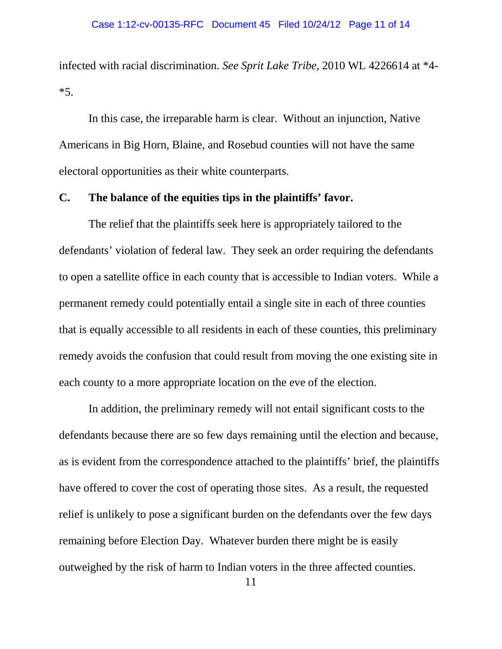infected with racial discrimination. *See Sprit Lake Tribe,* 2010 WL 4226614 at \*4- \*5.

In this case, the irreparable harm is clear. Without an injunction, Native Americans in Big Horn, Blaine, and Rosebud counties will not have the same electoral opportunities as their white counterparts.

## **C. The balance of the equities tips in the plaintiffs' favor.**

The relief that the plaintiffs seek here is appropriately tailored to the defendants' violation of federal law. They seek an order requiring the defendants to open a satellite office in each county that is accessible to Indian voters. While a permanent remedy could potentially entail a single site in each of three counties that is equally accessible to all residents in each of these counties, this preliminary remedy avoids the confusion that could result from moving the one existing site in each county to a more appropriate location on the eve of the election.

In addition, the preliminary remedy will not entail significant costs to the defendants because there are so few days remaining until the election and because, as is evident from the correspondence attached to the plaintiffs' brief, the plaintiffs have offered to cover the cost of operating those sites. As a result, the requested relief is unlikely to pose a significant burden on the defendants over the few days remaining before Election Day. Whatever burden there might be is easily outweighed by the risk of harm to Indian voters in the three affected counties.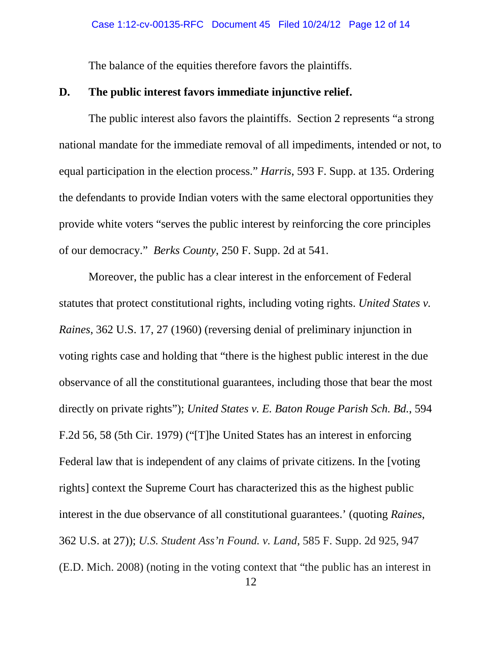The balance of the equities therefore favors the plaintiffs.

## **D. The public interest favors immediate injunctive relief.**

The public interest also favors the plaintiffs. Section 2 represents "a strong national mandate for the immediate removal of all impediments, intended or not, to equal participation in the election process." *Harris*, 593 F. Supp. at 135. Ordering the defendants to provide Indian voters with the same electoral opportunities they provide white voters "serves the public interest by reinforcing the core principles of our democracy." *Berks County*, 250 F. Supp. 2d at 541.

Moreover, the public has a clear interest in the enforcement of Federal statutes that protect constitutional rights, including voting rights. *United States v. Raines*, 362 U.S. 17, 27 (1960) (reversing denial of preliminary injunction in voting rights case and holding that "there is the highest public interest in the due observance of all the constitutional guarantees, including those that bear the most directly on private rights"); *United States v. E. Baton Rouge Parish Sch. Bd.*, 594 F.2d 56, 58 (5th Cir. 1979) ("[T]he United States has an interest in enforcing Federal law that is independent of any claims of private citizens. In the [voting rights] context the Supreme Court has characterized this as the highest public interest in the due observance of all constitutional guarantees.' (quoting *Raines*, 362 U.S. at 27)); *U.S. Student Ass'n Found. v. Land*, 585 F. Supp. 2d 925, 947 (E.D. Mich. 2008) (noting in the voting context that "the public has an interest in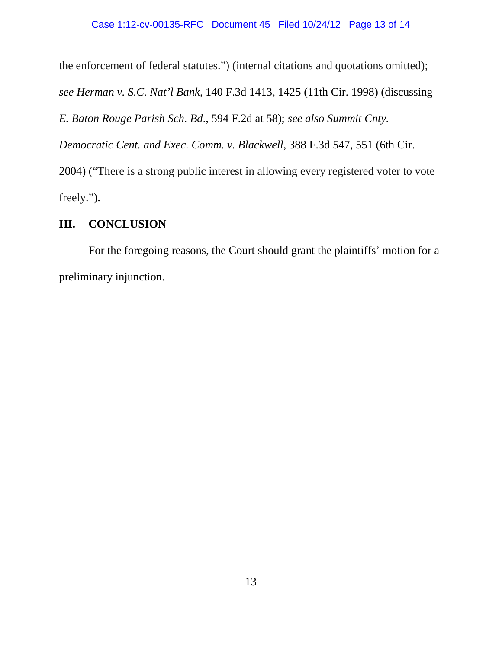the enforcement of federal statutes.") (internal citations and quotations omitted);

*see Herman v. S.C. Nat'l Bank*, 140 F.3d 1413, 1425 (11th Cir. 1998) (discussing

*E. Baton Rouge Parish Sch. Bd*., 594 F.2d at 58); *see also Summit Cnty.* 

*Democratic Cent. and Exec. Comm. v. Blackwell*, 388 F.3d 547, 551 (6th Cir.

2004) ("There is a strong public interest in allowing every registered voter to vote freely.").

# **III. CONCLUSION**

For the foregoing reasons, the Court should grant the plaintiffs' motion for a preliminary injunction.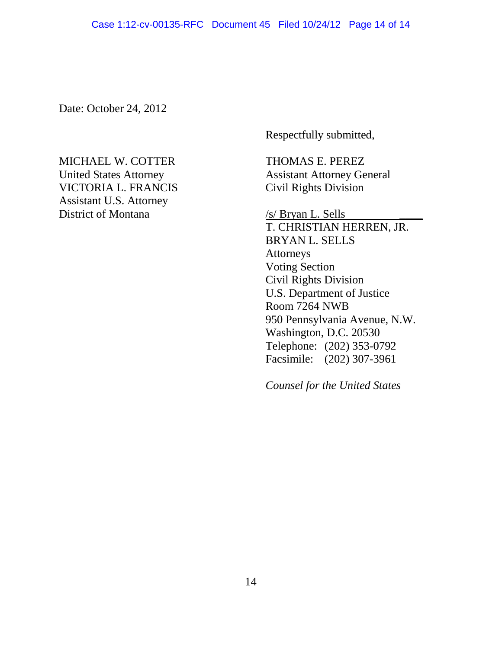Date: October 24, 2012

# MICHAEL W. COTTER THOMAS E. PEREZ United States Attorney<br>
VICTORIA L. FRANCIS<br>
Civil Rights Division VICTORIA L. FRANCIS Assistant U.S. Attorney

Respectfully submitted,

District of Montana  $/ s/ B$ ryan L. Sells

T. CHRISTIAN HERREN, JR. BRYAN L. SELLS Attorneys Voting Section Civil Rights Division U.S. Department of Justice Room 7264 NWB 950 Pennsylvania Avenue, N.W. Washington, D.C. 20530 Telephone: (202) 353-0792 Facsimile: (202) 307-3961

*Counsel for the United States*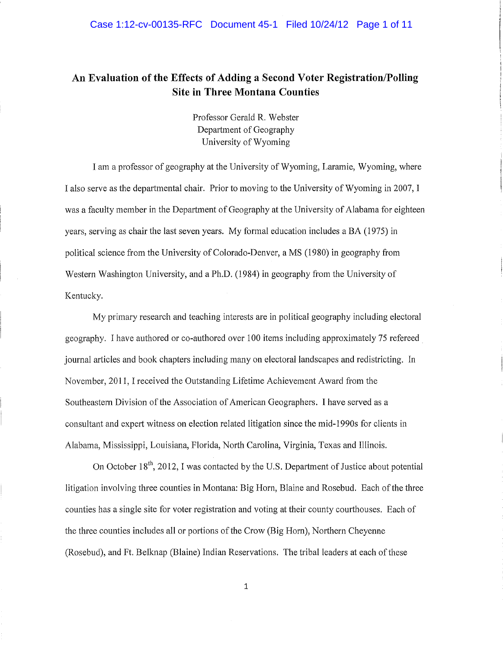#### Case 1:12-cv-00135-RFC Document 45-1 Filed 10/24/12 Page 1 of 11

# **An Evaluation of the Effects of Adding a Second Voter Registration/Polling Site in Three Montana Counties**

Professor Gerald R. Webster Department of Geography University of Wyoming

I am a professor of geography at the University of Wyoming, Laramie, Wyoming, where I also serve as the departmental chair. Prior to moving to the University of Wyoming in 2007, I was a faculty member in the Department of Geography at the University of Alabama for eighteen years, serving as chair the last seven years. My formal education includes a BA (1975) in political science from the University of Colorado-Denver, a MS (1980) in geography from Western Washington University, and a Ph.D. (1984) in geography from the University of Kentucky.

My primary research and teaching interests are in political geography including electoral geography. I have authored or co-authored over 100 items including approximately 75 refereed journal articles and book chapters including many on electoral landscapes and redistricting. In November, 2011, I received the Outstanding Lifetime Achievement Award from the Southeastern Division of the Association of American Geographers. I have served as a consultant and expert witness on election related litigation since the mid-1990s for clients in Alabama, Mississippi, Louisiana, Florida, North Carolina, Virginia, Texas and Illinois.

On October 18<sup>th</sup>, 2012, I was contacted by the U.S. Department of Justice about potential litigation involving three counties in Montana: Big Horn, Blaine and Rosebud. Each of the three counties has a single site for voter registration and voting at their county courthouses. Each of the three counties includes all or portions of the Crow (Big Horn), Northern Cheyenne (Rosebud), and Ft. Belknap (Blaine) Indian Reservations. The tribal leaders at each of these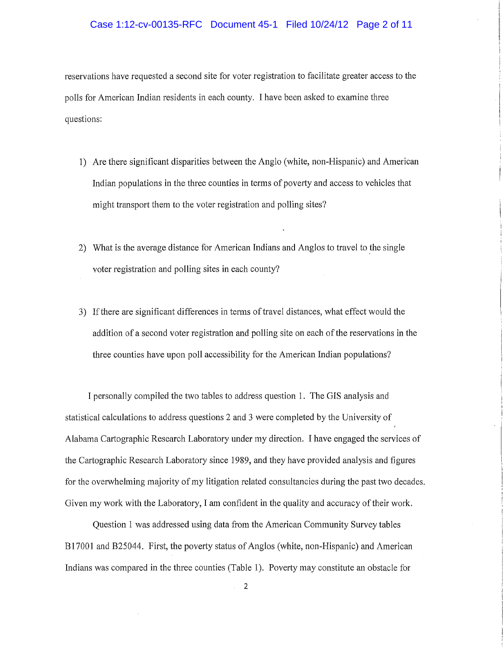#### Case 1:12-cv-00135-RFC Document 45-1 Filed 10/24/12 Page 2 of 11

reservations have requested a second site for voter registration to facilitate greater access to the polls for American Indian residents in each county. I have been asked to examine three questions:

- 1) Are there significant disparities between the Anglo (white, non-Hispanic) and American Indian populations in the three counties in terms of poverty and access to vehicles that might transport them to the voter registration and polling sites?
- 2) What is the average distance for American Indians and Anglos to travel to the single voter registration and polling sites in each county?
- 3) If there are significant differences in terms of travel distances, what effect would the addition of a second voter registration and polling site on each of the reservations in the three counties have upon poll accessibility for the American Indian populations?

I personally compiled the two tables to address question 1. The GIS analysis and statistical calculations to address questions 2 and 3 were completed by the University of Alabama Cartographic Research Laboratory under my direction. I have engaged the services of the Cartographic Research Laboratory since 1989, and they have provided analysis and figures for the overwhelming majority of my litigation related consultancies during the past two decades. Given my work with the Laboratory, I am confident in the quality and accuracy of their work.

Question 1 was addressed using data from the American Community Survey tables Bl 7001 and B25044. First, the poverty status of Anglos (white, non-Hispanic) and American Indians was compared in the three counties (Table 1). Poverty may constitute an obstacle for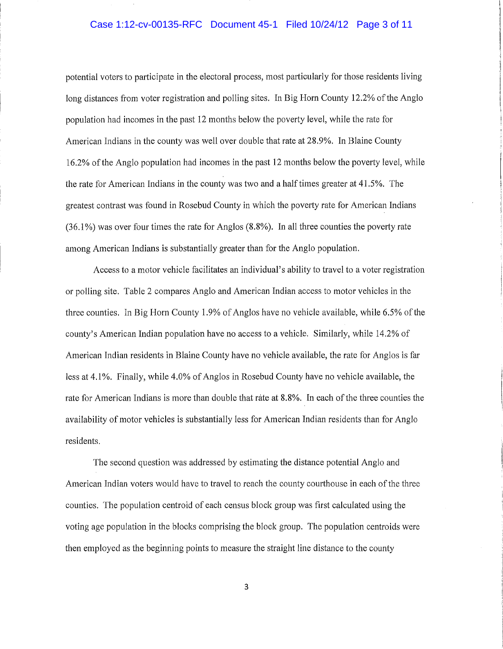#### Case 1:12-cv-00135-RFC Document 45-1 Filed 10/24/12 Page 3 of 11

potential voters to participate in the electoral process, most particularly for those residents living long distances from voter registration and polling sites. In Big Horn County 12.2% of the Anglo population had incomes in the past 12 months below the poverty level, while the rate for American Indians in the county was well over double that rate at 28.9%. In Blaine County 16.2% of the Anglo population had incomes in the past 12 months below the poverty level, while the rate for American Indians in the county was two and a half times greater at 41.5%. The greatest contrast was found in Rosebud County in which the poverty rate for American Indians  $(36.1\%)$  was over four times the rate for Anglos  $(8.8\%)$ . In all three counties the poverty rate among American Indians is substantially greater than for the Anglo population.

Access to a motor vehicle facilitates an individual's ability to travel to a voter registration or polling site. Table 2 compares Anglo and American Indian access to motor vehicles in the three counties. In Big Horn County 1.9% of Anglos have no vehicle available, while 6.5% of the county's American Indian population have no access to a vehicle. Similarly, while 14.2% of American Indian residents in Blaine County have no vehicle available, the rate for Anglos *is* far less at 4.1 %. Finally, while 4.0% of Anglos in Rosebud County have no vehicle available, the rate for American Indians is more than double that rate at 8.8%. In each of the three counties the availability of motor vehicles is substantially less for American Indian residents than for Anglo residents.

The second question was addressed by estimating the distance potential Anglo and American Indian voters would have to travel to reach the county courthouse in each of the three counties. The population centroid of each census block group was first calculated using the voting age population in the blocks comprising the block group. The population centroids were then employed as the beginning points to measure the straight line distance to the county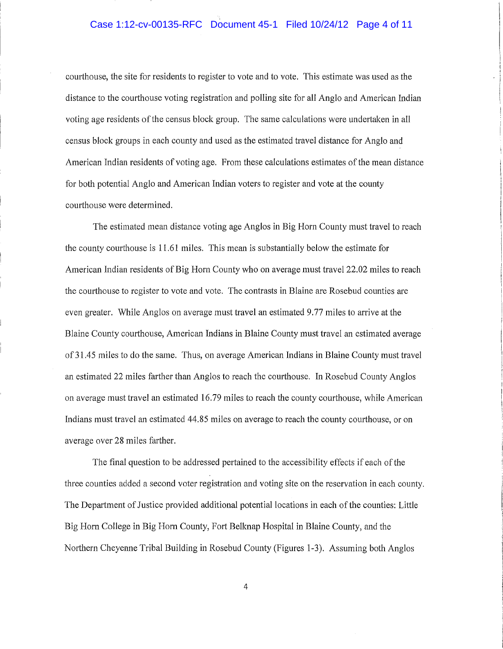#### Case 1:12-cv-00135-RFC Document 45-1 Filed 10/24/12 Page 4 of 11

courthouse, the site for residents to register to vote and to vote. This estimate was used as the distance to the courthouse voting registration and polling site for all Anglo and American Indian voting age residents of the census block group. The same calculations were undertaken in all census block groups in each county and used as the estimated travel distance for Anglo and American Indian residents of voting age. From these calculations estimates of the mean distance for both potential Anglo and American Indian voters to register and vote at the county courthouse were determined.

The estimated mean distance voting age Anglos in Big Horn County must travel to reach the county courthouse is 11.61 miles. This mean is substantially below the estimate for American Indian residents of Big Horn County who on average must travel 22.02 miles to reach the courthouse to register to vote and vote. The contrasts in Blaine are Rosebud counties are even greater. While Anglos on average must travel an estimated 9.77 miles to arrive at the Blaine County courthouse, American Indians in Blaine County must travel an estimated average of 31.45 miles to do the same. Thus, on average American Indians in Blaine County must travel an estimated 22 miles farther than Anglos to reach the courthouse. In Rosebud County Anglos on average must travel an estimated 16. 79 miles to reach the county courthouse, while American Indians must travel an estimated 44.85 miles on average to reach the county courthouse, or on average over 28 miles farther.

The final question to be addressed pertained to the accessibility effects if each of the three counties added a second voter registration and voting site on the reservation in each county. The Department of Justice provided additional potential locations in each of the counties: Little Big Horn College in Big Horn County, Fort Belknap Hospital in Blaine County, and the Northern Cheyenne Tribal Building in Rosebud County (Figures 1-3). Assuming both Anglos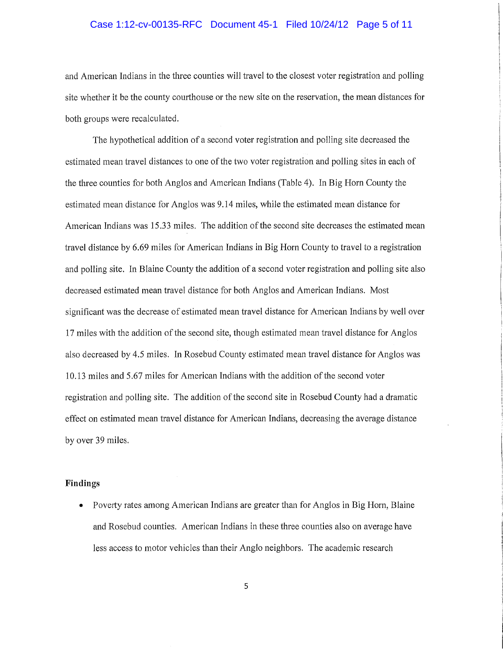#### Case 1:12-cv-00135-RFC Document 45-1 Filed 10/24/12 Page 5 of 11

and American Indians in the three counties will travel to the closest voter registration and polling site whether it be the county courthouse or the new site on the reservation, the mean distances for both groups were recalculated.

The hypothetical addition of a second voter registration and polling site decreased the estimated mean travel distances to one of the two voter registration and polling sites in each of the three counties for both Anglos and American Indians (Table 4). In Big Horn County the estimated mean distance for Anglos was 9 .14 miles, while the estimated mean distance for American Indians was 15.33 miles. The addition of the second site decreases the estimated mean travel distance by 6.69 miles for American Indians in Big Horn County to travel to a registration and polling site. In Blaine County the addition of a second voter registration and polling site also decreased estimated mean travel distance for both Anglos and American Indians. Most significant was the decrease of estimated mean travel distance for American Indians by well over 17 miles with the addition of the second site, though estimated mean travel distance for Anglos also decreased by 4.5 miles. In Rosebud County estimated mean travel distance for Anglos was 10.13 miles and 5.67 miles for American Indians with the addition of the second voter registration and polling site. The addition of the second site in Rosebud County had a dramatic effect on estimated mean travel distance for American Indians, decreasing the average distance by over 39 miles.

#### **Findings**

• Poverty rates among American Indians are greater than for Anglos in Big Horn, Blaine and Rosebud counties. American Indians in these three counties also on average have less access to motor vehicles than their Anglo neighbors. The academic research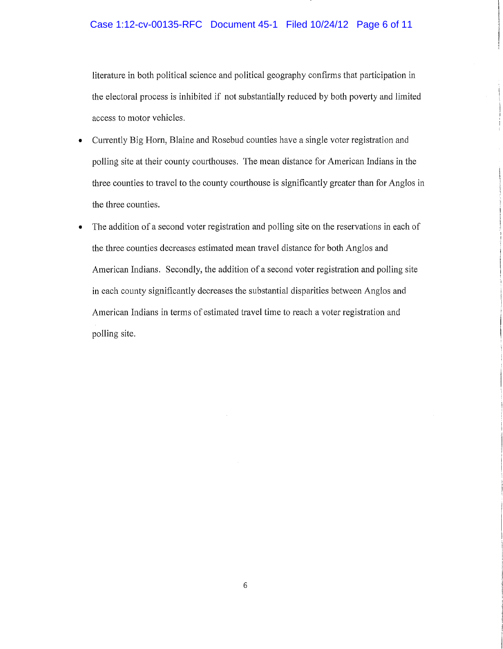#### Case 1:12-cv-00135-RFC Document 45-1 Filed 10/24/12 Page 6 of 11

literature in both political science and political geography confirms that participation in the electoral process is inhibited if not substantially reduced by both poverty and limited access to motor vehicles.

- Currently Big Horn, Blaine and Rosebud counties have a single voter registration and polling site at their county courthouses. The mean distance for American Indians in the three counties to travel to the county courthouse is significantly greater than for Anglos in the three counties.
- The addition of a second voter registration and polling site on the reservations in each of the three counties decreases estimated mean travel distance for both Anglos and American Indians. Secondly, the addition of a second voter registration and polling site in each county significantly decreases the substantial disparities between Anglos and American Indians in terms of estimated travel time to reach a voter registration and polling site.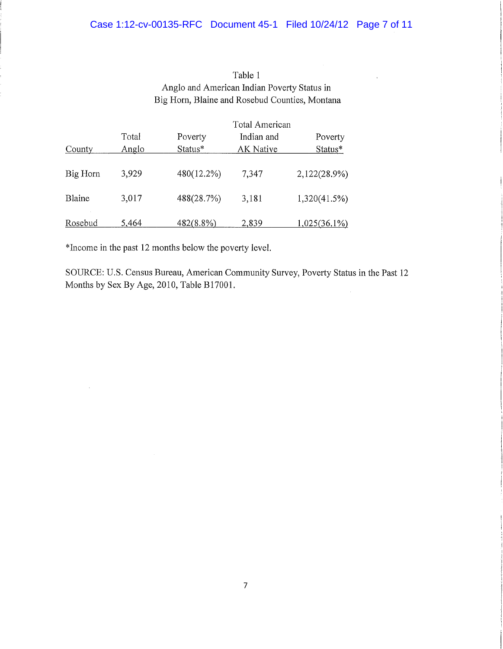# Table 1 Anglo and American Indian Poverty Status in Big Horn, Blaine and Rosebud Counties, Montana

|          | Total American |            |            |                 |
|----------|----------------|------------|------------|-----------------|
|          | Total          | Poverty    | Indian and | Poverty         |
| County   | Anglo          | Status*    | AK Native  | Status*         |
| Big Horn | 3,929          | 480(12.2%) | 7,347      | 2,122(28.9%)    |
| Blaine   | 3,017          | 488(28.7%) | 3,181      | 1,320(41.5%)    |
| Rosebud  | 5,464          | 482(8.8%)  | 2,839      | $1,025(36.1\%)$ |

\*Income in the past 12 months below the poverty level.

SOURCE: U.S. Census Bureau, American Community Survey, Poverty Status in the Past 12 Months by Sex By Age, 2010, Table B17001.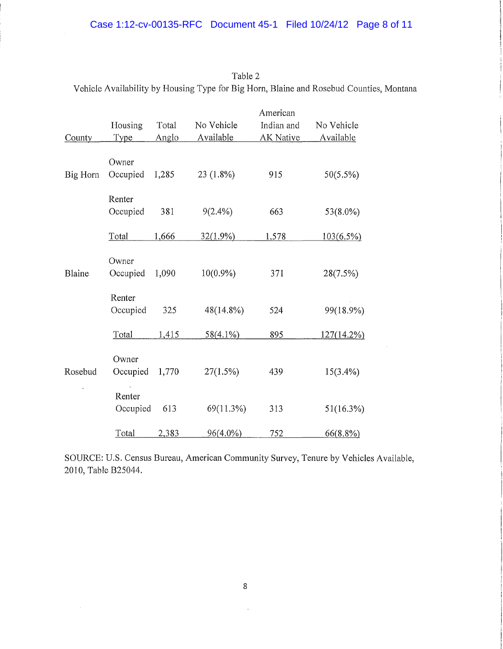| County   | Housing<br>Type    | Total<br>Anglo | No Vehicle<br>Available | American<br>Indian and<br><b>AK Native</b> | No Vehicle<br>Available |
|----------|--------------------|----------------|-------------------------|--------------------------------------------|-------------------------|
| Big Horn | Owner<br>Occupied  | 1,285          | 23 (1.8%)               | 915                                        | 50(5.5%)                |
|          | Renter<br>Occupied | 381            | $9(2.4\%)$              | 663                                        | 53(8.0%)                |
|          | Total              | 1,666          | $32(1.9\%)$             | 1,578                                      | $103(6.5\%)$            |
| Blaine   | Owner<br>Occupied  | 1,090          | $10(0.9\%)$             | 371                                        | 28(7.5%)                |
|          | Renter<br>Occupied | 325            | 48(14.8%)               | 524                                        | 99(18.9%)               |
|          | Total              | 1,415          | $58(4.1\%)$             | 895                                        | 127(14.2%)              |
| Rosebud  | Owner<br>Occupied  | 1,770          | 27(1.5%)                | 439                                        | $15(3.4\%)$             |
|          | Renter<br>Occupied | 613            | 69(11.3%)               | 313                                        | 51(16.3%)               |
|          | Total              | 2,383          | $96(4.0\%)$             | <u>752</u>                                 | $66(8.8\%)$             |

| Table 2                                                                                 |  |
|-----------------------------------------------------------------------------------------|--|
| Vehicle Availability by Housing Type for Big Horn, Blaine and Rosebud Counties, Montana |  |

SOURCE: U.S. Census Bureau, American Community Survey, Tenure by Vehicles Available, 2010, Table B25044.

 $\bar{z}$ 

 $\bar{\gamma}$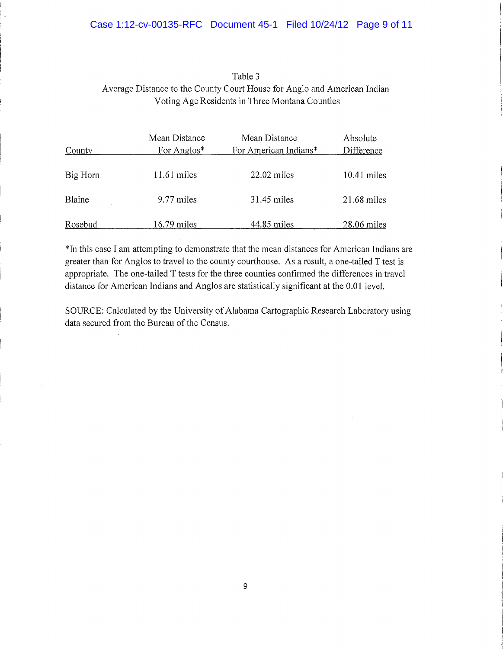# Table 3 Average Distance to the County Court House for Anglo and American Indian Voting Age Residents in Three Montana Counties

|          | Mean Distance | Mean Distance         | Absolute      |
|----------|---------------|-----------------------|---------------|
| County   | For Anglos*   | For American Indians* | Difference    |
| Big Horn | $11.61$ miles | $22.02$ miles         | $10.41$ miles |
| Blaine   | 9.77 miles    | 31.45 miles           | $21.68$ miles |
| Rosebud  | $16.79$ miles | 44.85 miles           | $28.06$ miles |

\*In this case I am attempting to demonstrate that the mean distances for American Indians are greater than for Anglos to travel to the county courthouse. As a result, a one-tailed T test is appropriate. The one-tailed T tests for the three counties confirmed the differences in travel distance for American Indians and Anglos are statistically significant at the 0.01 level.

SOURCE: Calculated by the University of Alabama Cartographic Research Laboratory using data secured from the Bureau of the Census.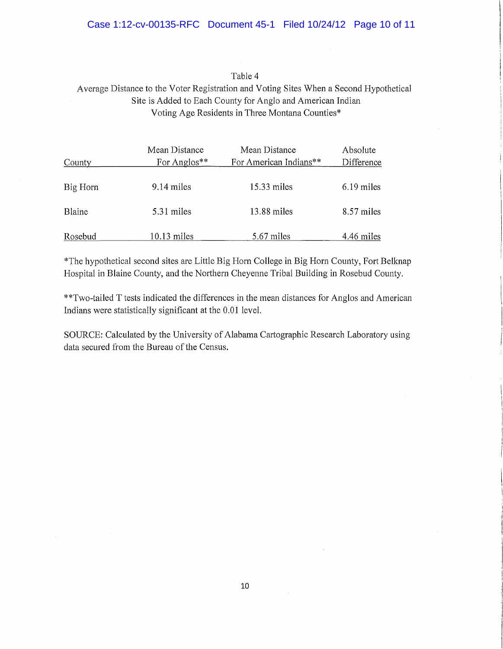#### Case 1:12-cv-00135-RFC Document 45-1 Filed 10/24/12 Page 10 of 11

#### Table 4

## Average Distance to the Voter Registration and Voting Sites When a Second Hypothetical Site is Added to Each County for Anglo and American Indian Voting Age Residents in Three Montana Counties\*

|          | Mean Distance | Mean Distance          | Absolute     |
|----------|---------------|------------------------|--------------|
| County   | For Anglos**  | For American Indians** | Difference   |
|          |               |                        |              |
| Big Horn | 9.14 miles    | $15.33$ miles          | $6.19$ miles |
|          |               |                        |              |
| Blaine   | 5.31 miles    | 13.88 miles            | 8.57 miles   |
|          |               |                        |              |
| Rosebud  | $10.13$ miles | 5.67 miles             | 4.46 miles   |

\*The hypothetical second sites are Little Big Horn College in Big Horn County, Fort Belknap Hospital in Blaine County, and the Northern Cheyenne Tribal Building in Rosebud County.

\*\*Two-tailed T tests indicated the differences in the mean distances for Anglos and American Indians were statistically significant at the 0.01 level.

SOURCE: Calculated by the University of Alabama Cartographic Research Laboratory using data secured from the Bureau of the Census.